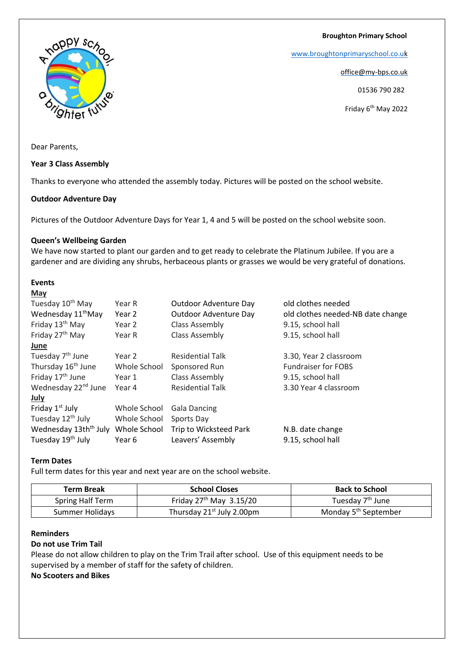**Broughton Primary School**

[www.broughtonprimaryschool.co.u](http://www.broughtonprimaryschool.co.u/)[k](http://www.broughtonprimaryschool.co.uk/)

office@my-bps.co.uk

01536 790 282

Friday 6<sup>th</sup> May 2022

hter fut

appy sch

Dear Parents,

**Year 3 Class Assembly**

Thanks to everyone who attended the assembly today. Pictures will be posted on the school website.

### **Outdoor Adventure Day**

Pictures of the Outdoor Adventure Days for Year 1, 4 and 5 will be posted on the school website soon.

### **Queen's Wellbeing Garden**

We have now started to plant our garden and to get ready to celebrate the Platinum Jubilee. If you are a gardener and are dividing any shrubs, herbaceous plants or grasses we would be very grateful of donations.

# **Events**

| Year R       | Outdoor Adventure Day             | old clothes needed                |
|--------------|-----------------------------------|-----------------------------------|
| Year 2       | Outdoor Adventure Day             | old clothes needed-NB date change |
| Year 2       | Class Assembly                    | 9.15, school hall                 |
| Year R       | <b>Class Assembly</b>             | 9.15, school hall                 |
|              |                                   |                                   |
| Year 2       | <b>Residential Talk</b>           | 3.30, Year 2 classroom            |
| Whole School | Sponsored Run                     | <b>Fundraiser for FOBS</b>        |
| Year 1       | Class Assembly                    | 9.15, school hall                 |
| Year 4       | <b>Residential Talk</b>           | 3.30 Year 4 classroom             |
|              |                                   |                                   |
| Whole School | <b>Gala Dancing</b>               |                                   |
| Whole School | Sports Day                        |                                   |
| Whole School | Trip to Wicksteed Park            | N.B. date change                  |
| Year 6       | Leavers' Assembly                 | 9.15, school hall                 |
|              | Wednesday 13th <sup>th</sup> July |                                   |

# **Term Dates**

Full term dates for this year and next year are on the school website.

| Term Break       | <b>School Closes</b>                  | <b>Back to School</b>            |
|------------------|---------------------------------------|----------------------------------|
| Spring Half Term | Friday $27th$ May $3.15/20$           | Tuesday 7 <sup>th</sup> June     |
| Summer Holidays  | Thursday 21 <sup>st</sup> July 2.00pm | Monday 5 <sup>th</sup> September |

## **Reminders**

#### **Do not use Trim Tail**

Please do not allow children to play on the Trim Trail after school. Use of this equipment needs to be supervised by a member of staff for the safety of children.

**No Scooters and Bikes**